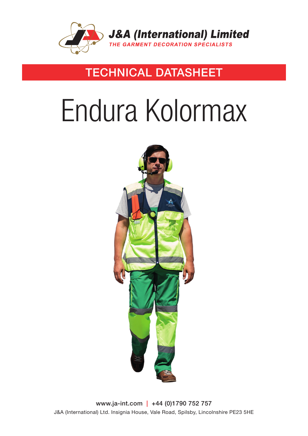

### **TECHNICAL DATASHEET**

# Endura Kolormax



www.ja-int.com | +44 (0)1790 752 757 J&A (International) Ltd. Insignia House, Vale Road, Spilsby, Lincolnshire PE23 5HE